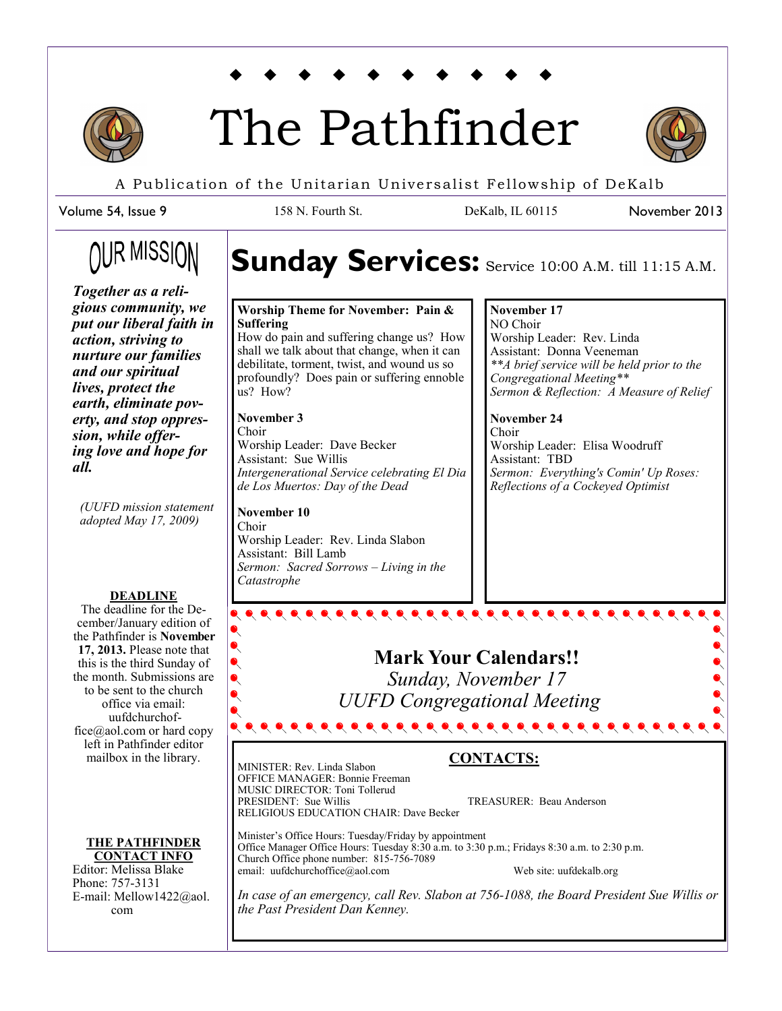

# The Pathfinder



November 2013

A Publication of the Unitarian Universalist Fellowship of DeKalb

158 N. Fourth St. DeKalb, IL 60115

Volume 54, Issue 9

## OUR MISSION

## Sunday Services: Service 10:00 A.M. till 11:15 A.M.

*Together as a religious community, we put our liberal faith in action, striving to nurture our families and our spiritual lives, protect the earth, eliminate poverty, and stop oppression, while offering love and hope for all.* 

*(UUFD mission statement adopted May 17, 2009)*

#### **DEADLINE**

The deadline for the December/January edition of the Pathfinder is **November 17, 2013.** Please note that this is the third Sunday of the month. Submissions are to be sent to the church office via email: uufdchurchof $fice@a$ <sup>o</sup>.com or hard copy left in Pathfinder editor mailbox in the library.

#### **THE PATHFINDER CONTACT INFO**

Editor: Melissa Blake Phone: 757-3131 E-mail: Mellow1422@aol. com

#### **Worship Theme for November: Pain & Suffering**

How do pain and suffering change us? How shall we talk about that change, when it can debilitate, torment, twist, and wound us so profoundly? Does pain or suffering ennoble us? How?

**November 3** Choir Worship Leader: Dave Becker Assistant: Sue Willis *Intergenerational Service celebrating El Dia de Los Muertos: Day of the Dead*

**November 10** Choir Worship Leader: Rev. Linda Slabon Assistant: Bill Lamb *Sermon: Sacred Sorrows – Living in the Catastrophe*

#### **November 17** NO Choir Worship Leader: Rev. Linda Assistant: Donna Veeneman *\*\*A brief service will be held prior to the Congregational Meeting\*\* Sermon & Reflection: A Measure of Relief*

#### **November 24** Choir Worship Leader: Elisa Woodruff Assistant: TBD *Sermon: Everything's Comin' Up Roses: Reflections of a Cockeyed Optimist*

## **Mark Your Calendars!!**

*Sunday, November 17 UUFD Congregational Meeting* 

 $\bullet\hspace{0.2cm} \bullet\hspace{0.2cm} \bullet\hspace{0.2cm} \bullet\hspace{0.2cm} \bullet\hspace{0.2cm} \bullet\hspace{0.2cm} \bullet\hspace{0.2cm} \bullet\hspace{0.2cm} \bullet\hspace{0.2cm} \bullet\hspace{0.2cm} \bullet\hspace{0.2cm} \bullet\hspace{0.2cm} \bullet\hspace{0.2cm} \bullet\hspace{0.2cm} \bullet\hspace{0.2cm} \bullet\hspace{0.2cm} \bullet\hspace{0.2cm} \bullet\hspace{0.2cm} \bullet\hspace{0.2cm} \bullet\hspace{0.2cm}$ 

 $\bullet\hspace{0.2cm} \bullet\hspace{0.2cm} \bullet\hspace{0.2cm} \bullet\hspace{0.2cm} \bullet\hspace{0.2cm} \bullet\hspace{0.2cm} \bullet\hspace{0.2cm} \bullet\hspace{0.2cm} \bullet\hspace{0.2cm} \bullet\hspace{0.2cm} \bullet\hspace{0.2cm} \bullet\hspace{0.2cm} \bullet\hspace{0.2cm} \bullet\hspace{0.2cm} \bullet\hspace{0.2cm} \bullet\hspace{0.2cm} \bullet\hspace{0.2cm} \bullet\hspace{0.2cm} \bullet\hspace{0.2cm} \bullet\hspace{0.2cm}$ 

## **CONTACTS:**

MINISTER: Rev. Linda Slabon OFFICE MANAGER: Bonnie Freeman MUSIC DIRECTOR: Toni Tollerud<br>PRESIDENT: Sue Willis RELIGIOUS EDUCATION CHAIR: Dave Becker

TREASURER: Beau Anderson

Minister's Office Hours: Tuesday/Friday by appointment Office Manager Office Hours: Tuesday 8:30 a.m. to 3:30 p.m.; Fridays 8:30 a.m. to 2:30 p.m. Church Office phone number: 815-756-7089 email: uufdchurchoffice@aol.com Web site: uufdekalb.org

*In case of an emergency, call Rev. Slabon at 756-1088, the Board President Sue Willis or the Past President Dan Kenney.*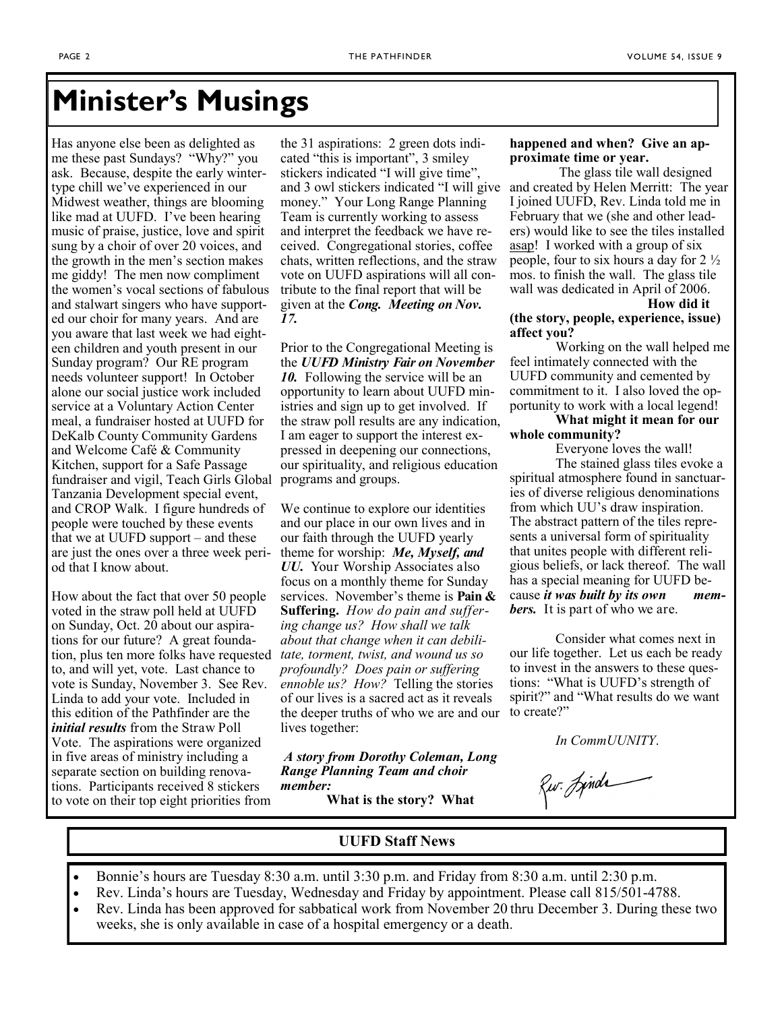## **Minister's Musings**

Has anyone else been as delighted as me these past Sundays? "Why?" you ask. Because, despite the early wintertype chill we've experienced in our Midwest weather, things are blooming like mad at UUFD. I've been hearing music of praise, justice, love and spirit sung by a choir of over 20 voices, and the growth in the men's section makes me giddy! The men now compliment the women's vocal sections of fabulous and stalwart singers who have supported our choir for many years. And are you aware that last week we had eighteen children and youth present in our Sunday program? Our RE program needs volunteer support! In October alone our social justice work included service at a Voluntary Action Center meal, a fundraiser hosted at UUFD for DeKalb County Community Gardens and Welcome Café & Community Kitchen, support for a Safe Passage fundraiser and vigil, Teach Girls Global Tanzania Development special event, and CROP Walk. I figure hundreds of people were touched by these events that we at UUFD support – and these are just the ones over a three week period that I know about.

How about the fact that over 50 people voted in the straw poll held at UUFD on Sunday, Oct. 20 about our aspirations for our future? A great foundation, plus ten more folks have requested to, and will yet, vote. Last chance to vote is Sunday, November 3. See Rev. Linda to add your vote. Included in this edition of the Pathfinder are the *initial results* from the Straw Poll Vote. The aspirations were organized in five areas of ministry including a separate section on building renovations. Participants received 8 stickers to vote on their top eight priorities from

the 31 aspirations: 2 green dots indicated "this is important", 3 smiley stickers indicated "I will give time", and 3 owl stickers indicated "I will give money." Your Long Range Planning Team is currently working to assess and interpret the feedback we have received. Congregational stories, coffee chats, written reflections, and the straw vote on UUFD aspirations will all contribute to the final report that will be given at the *Cong. Meeting on Nov. 17.* 

Prior to the Congregational Meeting is the *UUFD Ministry Fair on November 10.* Following the service will be an opportunity to learn about UUFD ministries and sign up to get involved. If the straw poll results are any indication, I am eager to support the interest expressed in deepening our connections, our spirituality, and religious education programs and groups.

We continue to explore our identities and our place in our own lives and in our faith through the UUFD yearly theme for worship: *Me, Myself, and UU.* Your Worship Associates also focus on a monthly theme for Sunday services. November's theme is **Pain & Suffering.** *How do pain and suffering change us? How shall we talk about that change when it can debilitate, torment, twist, and wound us so profoundly? Does pain or suffering ennoble us? How?* Telling the stories of our lives is a sacred act as it reveals the deeper truths of who we are and our lives together:

*A story from Dorothy Coleman, Long Range Planning Team and choir member:* 

**What is the story? What** 

#### **happened and when? Give an approximate time or year.**

The glass tile wall designed and created by Helen Merritt: The year I joined UUFD, Rev. Linda told me in February that we (she and other leaders) would like to see the tiles installed asap! I worked with a group of six people, four to six hours a day for 2 ½ mos. to finish the wall. The glass tile wall was dedicated in April of 2006.

**How did it** 

#### **(the story, people, experience, issue) affect you?**

Working on the wall helped me feel intimately connected with the UUFD community and cemented by commitment to it. I also loved the opportunity to work with a local legend!

#### **What might it mean for our whole community?**

Everyone loves the wall! The stained glass tiles evoke a spiritual atmosphere found in sanctuaries of diverse religious denominations from which UU's draw inspiration. The abstract pattern of the tiles represents a universal form of spirituality that unites people with different religious beliefs, or lack thereof. The wall has a special meaning for UUFD because *it was built by its own members.* It is part of who we are.

Consider what comes next in our life together. Let us each be ready to invest in the answers to these questions: "What is UUFD's strength of spirit?" and "What results do we want to create?"

*In CommUUNITY*.

Rw. Jinda

#### **UUFD Staff News**

- Bonnie's hours are Tuesday 8:30 a.m. until 3:30 p.m. and Friday from 8:30 a.m. until 2:30 p.m.
- Rev. Linda's hours are Tuesday, Wednesday and Friday by appointment. Please call 815/501-4788.
- Rev. Linda has been approved for sabbatical work from November 20 thru December 3. During these two weeks, she is only available in case of a hospital emergency or a death.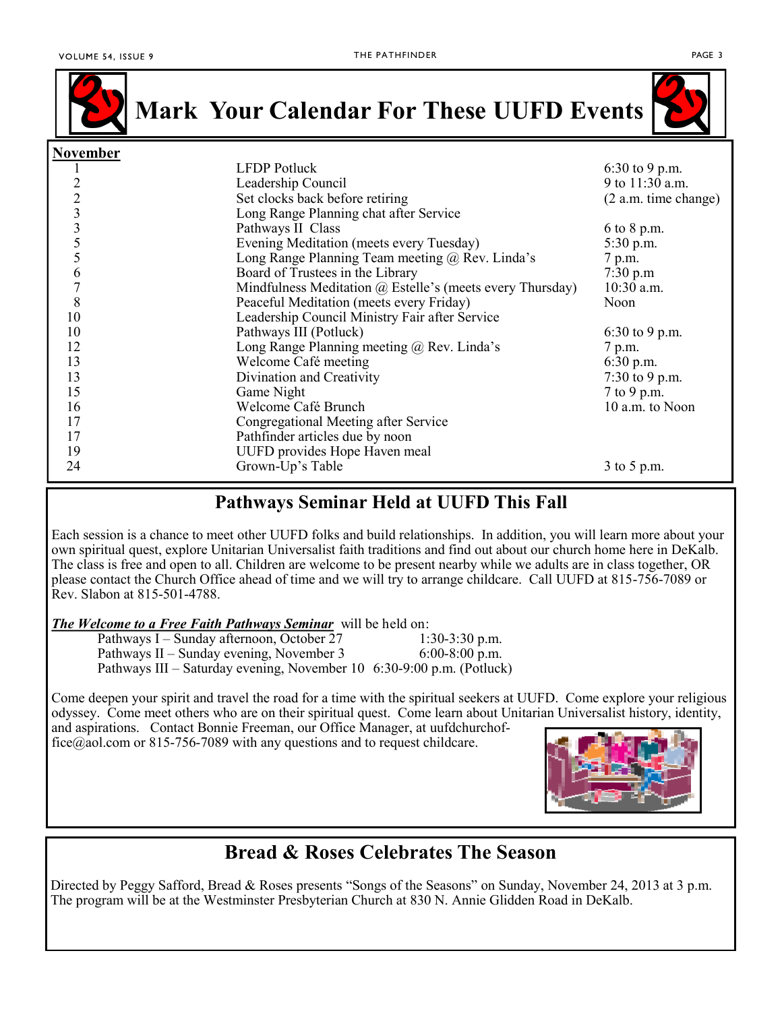

**Mark Your Calendar For These UUFD Events**

| <b>November</b> |                                                           |                      |
|-----------------|-----------------------------------------------------------|----------------------|
|                 | <b>LFDP</b> Potluck                                       | 6:30 to 9 p.m.       |
|                 | Leadership Council                                        | 9 to 11:30 a.m.      |
| $\frac{2}{3}$   | Set clocks back before retiring                           | (2 a.m. time change) |
|                 | Long Range Planning chat after Service                    |                      |
|                 | Pathways II Class                                         | 6 to 8 p.m.          |
| $rac{3}{5}$     | Evening Meditation (meets every Tuesday)                  | 5:30 p.m.            |
| 5               | Long Range Planning Team meeting @ Rev. Linda's           | 7 p.m.               |
| 6               | Board of Trustees in the Library                          | 7:30 p.m             |
| $\overline{7}$  | Mindfulness Meditation @ Estelle's (meets every Thursday) | 10:30 a.m.           |
| 8               | Peaceful Meditation (meets every Friday)                  | Noon                 |
| 10              | Leadership Council Ministry Fair after Service            |                      |
| 10              | Pathways III (Potluck)                                    | $6:30$ to 9 p.m.     |
| 12              | Long Range Planning meeting @ Rev. Linda's                | 7 p.m.               |
| 13              | Welcome Café meeting                                      | $6:30$ p.m.          |
| 13              | Divination and Creativity                                 | 7:30 to 9 p.m.       |
| 15              | Game Night                                                | 7 to 9 p.m.          |
| 16              | Welcome Café Brunch                                       | 10 a.m. to Noon      |
| 17              | Congregational Meeting after Service                      |                      |
| 17              | Pathfinder articles due by noon                           |                      |
| 19              | UUFD provides Hope Haven meal                             |                      |
| 24              | Grown-Up's Table                                          | 3 to 5 p.m.          |

### **Pathways Seminar Held at UUFD This Fall**

Each session is a chance to meet other UUFD folks and build relationships. In addition, you will learn more about your own spiritual quest, explore Unitarian Universalist faith traditions and find out about our church home here in DeKalb. The class is free and open to all. Children are welcome to be present nearby while we adults are in class together, OR please contact the Church Office ahead of time and we will try to arrange childcare. Call UUFD at 815-756-7089 or Rev. Slabon at 815-501-4788.

*The Welcome to a Free Faith Pathways Seminar* will be held on:

| Pathways I – Sunday afternoon, October 27                             | $1:30-3:30$ p.m. |
|-----------------------------------------------------------------------|------------------|
| Pathways II – Sunday evening, November 3                              | $6:00-8:00$ p.m. |
| Pathways III – Saturday evening, November 10 6:30-9:00 p.m. (Potluck) |                  |

Come deepen your spirit and travel the road for a time with the spiritual seekers at UUFD. Come explore your religious odyssey. Come meet others who are on their spiritual quest. Come learn about Unitarian Universalist history, identity, and aspirations. Contact Bonnie Freeman, our Office Manager, at [uufdchurchof-](mailto:uufdchurchoffice@aol.com)

[fice@aol.com](mailto:uufdchurchoffice@aol.com) or 815-756-7089 with any questions and to request childcare.



## **Bread & Roses Celebrates The Season**

Directed by Peggy Safford, Bread & Roses presents "Songs of the Seasons" on Sunday, November 24, 2013 at 3 p.m. The program will be at the Westminster Presbyterian Church at 830 N. Annie Glidden Road in DeKalb.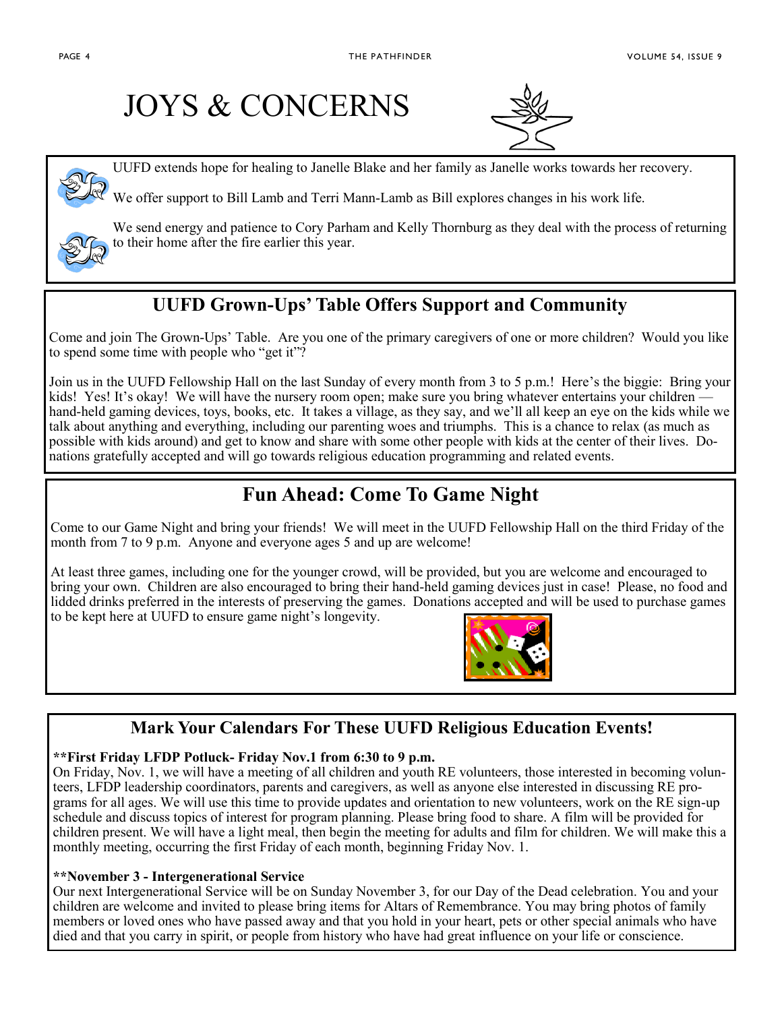## JOYS & CONCERNS



UUFD extends hope for healing to Janelle Blake and her family as Janelle works towards her recovery.

We offer support to Bill Lamb and Terri Mann-Lamb as Bill explores changes in his work life.



We send energy and patience to Cory Parham and Kelly Thornburg as they deal with the process of returning to their home after the fire earlier this year.

## **UUFD Grown-Ups' Table Offers Support and Community**

Come and join The Grown-Ups' Table. Are you one of the primary caregivers of one or more children? Would you like to spend some time with people who "get it"?

Join us in the UUFD Fellowship Hall on the last Sunday of every month from 3 to 5 p.m.! Here's the biggie: Bring your kids! Yes! It's okay! We will have the nursery room open; make sure you bring whatever entertains your children hand-held gaming devices, toys, books, etc. It takes a village, as they say, and we'll all keep an eye on the kids while we talk about anything and everything, including our parenting woes and triumphs. This is a chance to relax (as much as possible with kids around) and get to know and share with some other people with kids at the center of their lives. Donations gratefully accepted and will go towards religious education programming and related events.

## **Fun Ahead: Come To Game Night**

Come to our Game Night and bring your friends! We will meet in the UUFD Fellowship Hall on the third Friday of the month from 7 to 9 p.m. Anyone and everyone ages 5 and up are welcome!

At least three games, including one for the younger crowd, will be provided, but you are welcome and encouraged to bring your own. Children are also encouraged to bring their hand-held gaming devices just in case! Please, no food and lidded drinks preferred in the interests of preserving the games. Donations accepted and will be used to purchase games to be kept here at UUFD to ensure game night's longevity.



### **Mark Your Calendars For These UUFD Religious Education Events!**

#### **\*\*First Friday LFDP Potluck- Friday Nov.1 from 6:30 to 9 p.m.**

On Friday, Nov. 1, we will have a meeting of all children and youth RE volunteers, those interested in becoming volunteers, LFDP leadership coordinators, parents and caregivers, as well as anyone else interested in discussing RE programs for all ages. We will use this time to provide updates and orientation to new volunteers, work on the RE sign-up schedule and discuss topics of interest for program planning. Please bring food to share. A film will be provided for children present. We will have a light meal, then begin the meeting for adults and film for children. We will make this a monthly meeting, occurring the first Friday of each month, beginning Friday Nov. 1.

#### **\*\*November 3 - Intergenerational Service**

Our next Intergenerational Service will be on Sunday November 3, for our Day of the Dead celebration. You and your children are welcome and invited to please bring items for Altars of Remembrance. You may bring photos of family members or loved ones who have passed away and that you hold in your heart, pets or other special animals who have died and that you carry in spirit, or people from history who have had great influence on your life or conscience.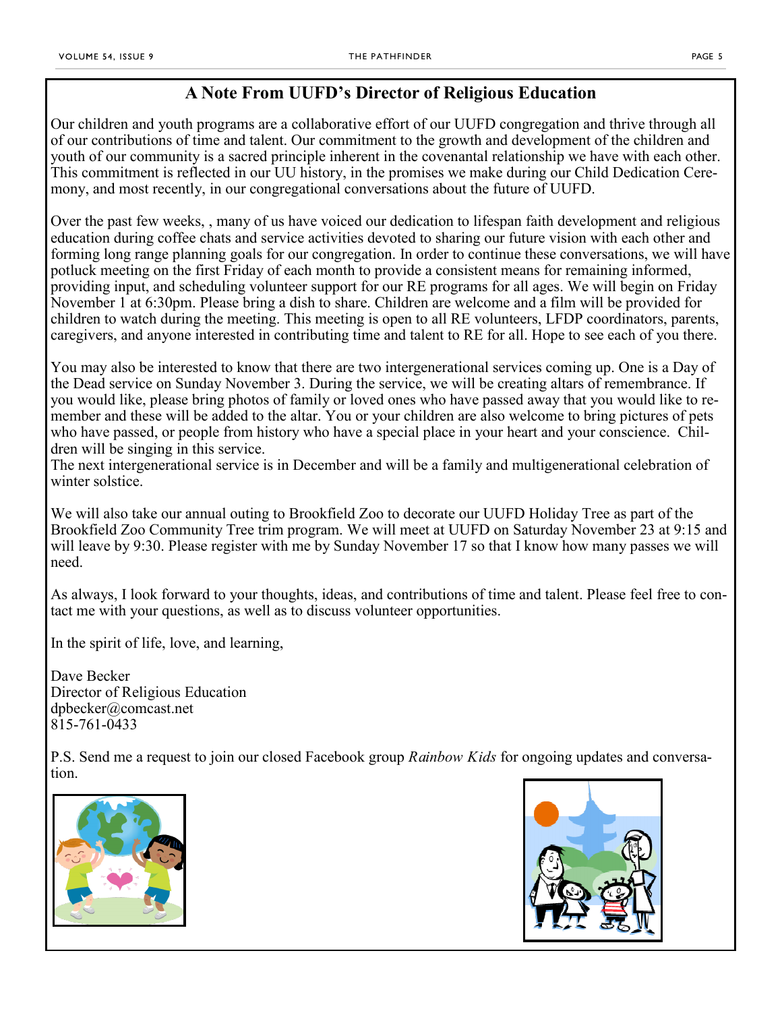### **A Note From UUFD's Director of Religious Education**

Our children and youth programs are a collaborative effort of our UUFD congregation and thrive through all of our contributions of time and talent. Our commitment to the growth and development of the children and youth of our community is a sacred principle inherent in the covenantal relationship we have with each other. This commitment is reflected in our UU history, in the promises we make during our Child Dedication Ceremony, and most recently, in our congregational conversations about the future of UUFD.

Over the past few weeks, , many of us have voiced our dedication to lifespan faith development and religious education during coffee chats and service activities devoted to sharing our future vision with each other and forming long range planning goals for our congregation. In order to continue these conversations, we will have potluck meeting on the first Friday of each month to provide a consistent means for remaining informed, providing input, and scheduling volunteer support for our RE programs for all ages. We will begin on Friday November 1 at 6:30pm. Please bring a dish to share. Children are welcome and a film will be provided for children to watch during the meeting. This meeting is open to all RE volunteers, LFDP coordinators, parents, caregivers, and anyone interested in contributing time and talent to RE for all. Hope to see each of you there.

You may also be interested to know that there are two intergenerational services coming up. One is a Day of the Dead service on Sunday November 3. During the service, we will be creating altars of remembrance. If you would like, please bring photos of family or loved ones who have passed away that you would like to remember and these will be added to the altar. You or your children are also welcome to bring pictures of pets who have passed, or people from history who have a special place in your heart and your conscience. Children will be singing in this service.

The next intergenerational service is in December and will be a family and multigenerational celebration of winter solstice.

We will also take our annual outing to Brookfield Zoo to decorate our UUFD Holiday Tree as part of the Brookfield Zoo Community Tree trim program. We will meet at UUFD on Saturday November 23 at 9:15 and will leave by 9:30. Please register with me by Sunday November 17 so that I know how many passes we will need.

As always, I look forward to your thoughts, ideas, and contributions of time and talent. Please feel free to contact me with your questions, as well as to discuss volunteer opportunities.

In the spirit of life, love, and learning,

Dave Becker Director of Religious Education dpbecker@comcast.net 815-761-0433

P.S. Send me a request to join our closed Facebook group *Rainbow Kids* for ongoing updates and conversation.